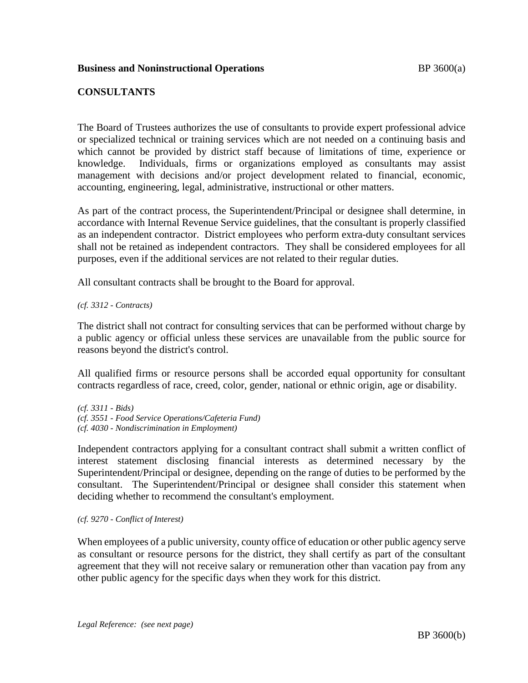# **Business and Noninstructional Operations BP** 3600(a)

# **CONSULTANTS**

The Board of Trustees authorizes the use of consultants to provide expert professional advice or specialized technical or training services which are not needed on a continuing basis and which cannot be provided by district staff because of limitations of time, experience or knowledge. Individuals, firms or organizations employed as consultants may assist management with decisions and/or project development related to financial, economic, accounting, engineering, legal, administrative, instructional or other matters.

As part of the contract process, the Superintendent/Principal or designee shall determine, in accordance with Internal Revenue Service guidelines, that the consultant is properly classified as an independent contractor. District employees who perform extra-duty consultant services shall not be retained as independent contractors. They shall be considered employees for all purposes, even if the additional services are not related to their regular duties.

All consultant contracts shall be brought to the Board for approval.

### *(cf. 3312 - Contracts)*

The district shall not contract for consulting services that can be performed without charge by a public agency or official unless these services are unavailable from the public source for reasons beyond the district's control.

All qualified firms or resource persons shall be accorded equal opportunity for consultant contracts regardless of race, creed, color, gender, national or ethnic origin, age or disability.

*(cf. 3311 - Bids) (cf. 3551 - Food Service Operations/Cafeteria Fund) (cf. 4030 - Nondiscrimination in Employment)*

Independent contractors applying for a consultant contract shall submit a written conflict of interest statement disclosing financial interests as determined necessary by the Superintendent/Principal or designee, depending on the range of duties to be performed by the consultant. The Superintendent/Principal or designee shall consider this statement when deciding whether to recommend the consultant's employment.

#### *(cf. 9270 - Conflict of Interest)*

When employees of a public university, county office of education or other public agency serve as consultant or resource persons for the district, they shall certify as part of the consultant agreement that they will not receive salary or remuneration other than vacation pay from any other public agency for the specific days when they work for this district.